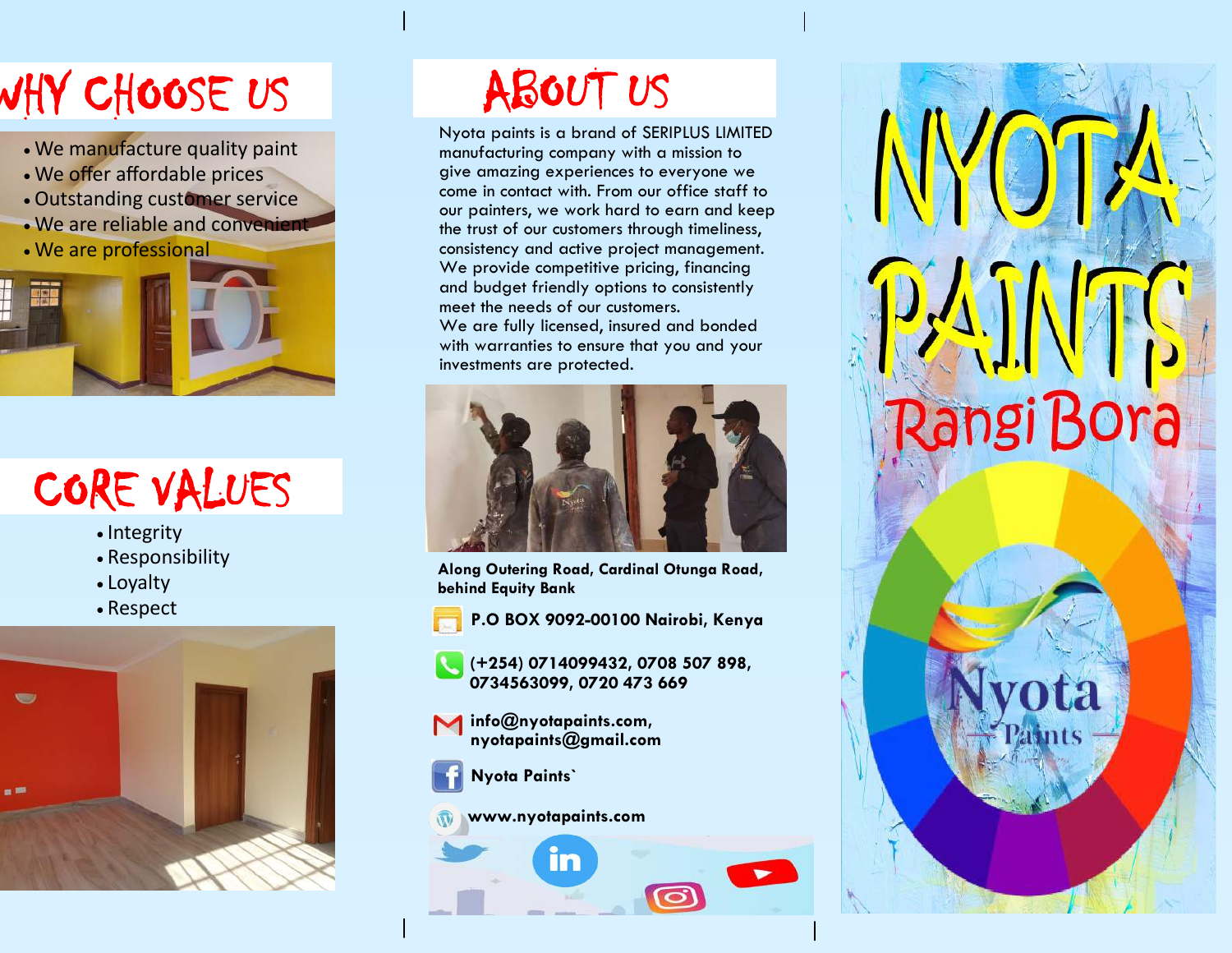# WHY CHOOSE US

- We manufacture quality paint
- We offer affordable prices
- Outstanding customer service
- We are reliable and convenient
- We are professional



## CORE VALUES

- Integrity
- Responsibility
- Loyalty
- Respect



## ABOUT US

Nyota paints is a brand of SERIPLUS LIMITED manufacturing company with a mission to give amazing experiences to everyone we come in contact with. From our office staff to our painters, we work hard to earn and keep the trust of our customers through timeliness, consistency and active project management. We provide competitive pricing, financing and budget friendly options to consistently meet the needs of our customers. We are fully licensed, insured and bonded with warranties to ensure that you and your investments are protected.



**Rangi Bora** 

**Along Outering Road, Cardinal Otunga Road, behind Equity Bank**

**P.O BOX 9092-00100 Nairobi, Kenya**



**(+254) 0714099432, 0708 507 898, 0734563099, 0720 473 669** 

**info@nyotapaints.com, nyotapaints@gmail.com**



**www.nyotapaints.com**

ĭn